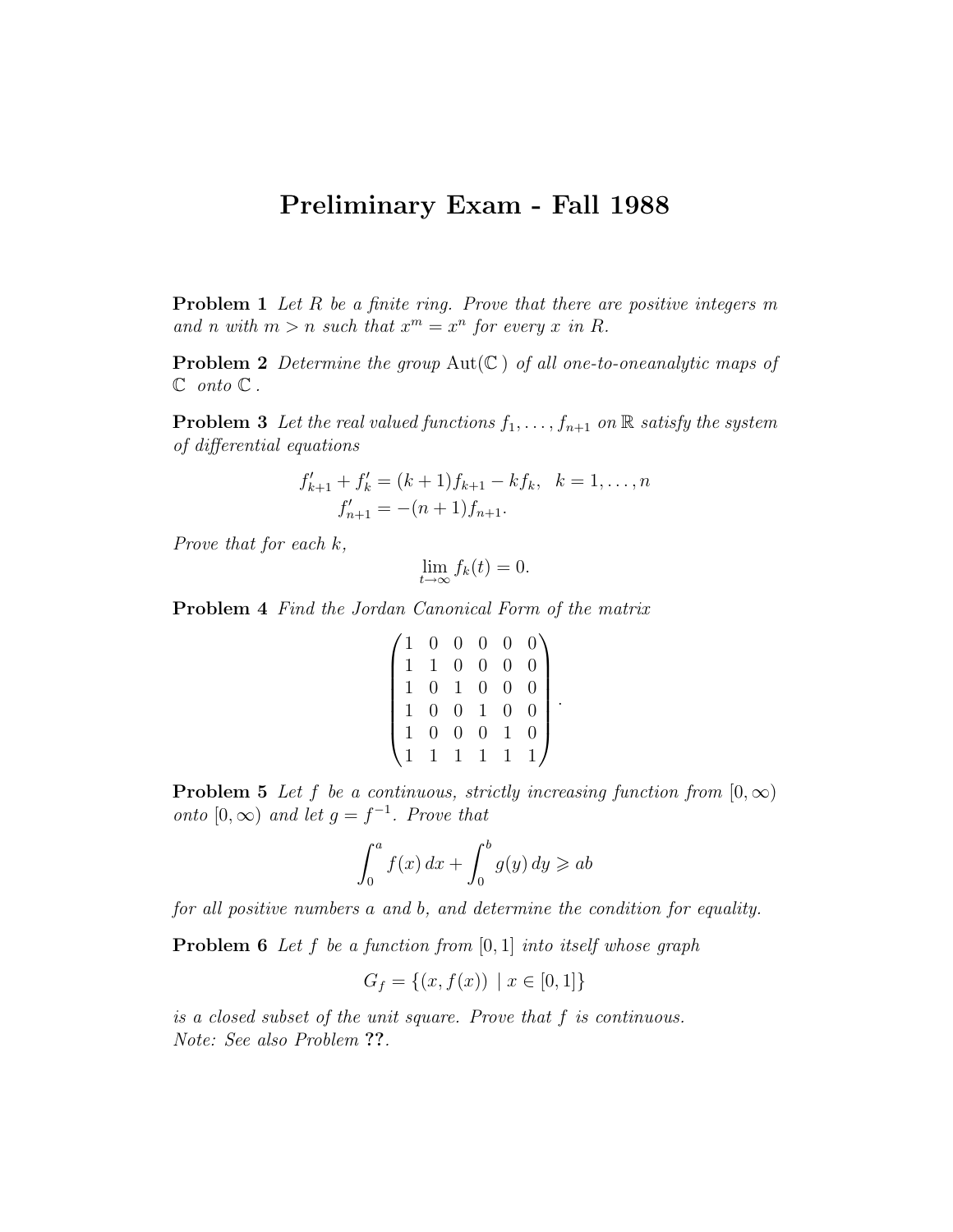## Preliminary Exam - Fall 1988

**Problem 1** Let  $R$  be a finite ring. Prove that there are positive integers  $m$ and n with  $m > n$  such that  $x^m = x^n$  for every x in R.

**Problem 2** Determine the group  $Aut(\mathbb{C})$  of all one-to-oneanalytic maps of  $\mathbb C$  onto  $\mathbb C$ .

**Problem 3** Let the real valued functions  $f_1, \ldots, f_{n+1}$  on  $\mathbb{R}$  satisfy the system of differential equations

$$
f'_{k+1} + f'_{k} = (k+1)f_{k+1} - kf_{k}, \ \ k = 1, \dots, n
$$
  

$$
f'_{n+1} = -(n+1)f_{n+1}.
$$

Prove that for each k,

$$
\lim_{t \to \infty} f_k(t) = 0.
$$

Problem 4 Find the Jordan Canonical Form of the matrix

$$
\begin{pmatrix} 1 & 0 & 0 & 0 & 0 & 0 \\ 1 & 1 & 0 & 0 & 0 & 0 \\ 1 & 0 & 1 & 0 & 0 & 0 \\ 1 & 0 & 0 & 1 & 0 & 0 \\ 1 & 0 & 0 & 0 & 1 & 0 \\ 1 & 1 & 1 & 1 & 1 & 1 \end{pmatrix}
$$

.

**Problem 5** Let f be a continuous, strictly increasing function from  $[0, \infty)$ onto  $[0,\infty)$  and let  $g = f^{-1}$ . Prove that

$$
\int_0^a f(x) dx + \int_0^b g(y) dy \geq ab
$$

for all positive numbers a and b, and determine the condition for equality.

**Problem 6** Let f be a function from  $[0, 1]$  into itself whose graph

$$
G_f = \{(x, f(x)) \mid x \in [0, 1]\}
$$

is a closed subset of the unit square. Prove that f is continuous. Note: See also Problem ??.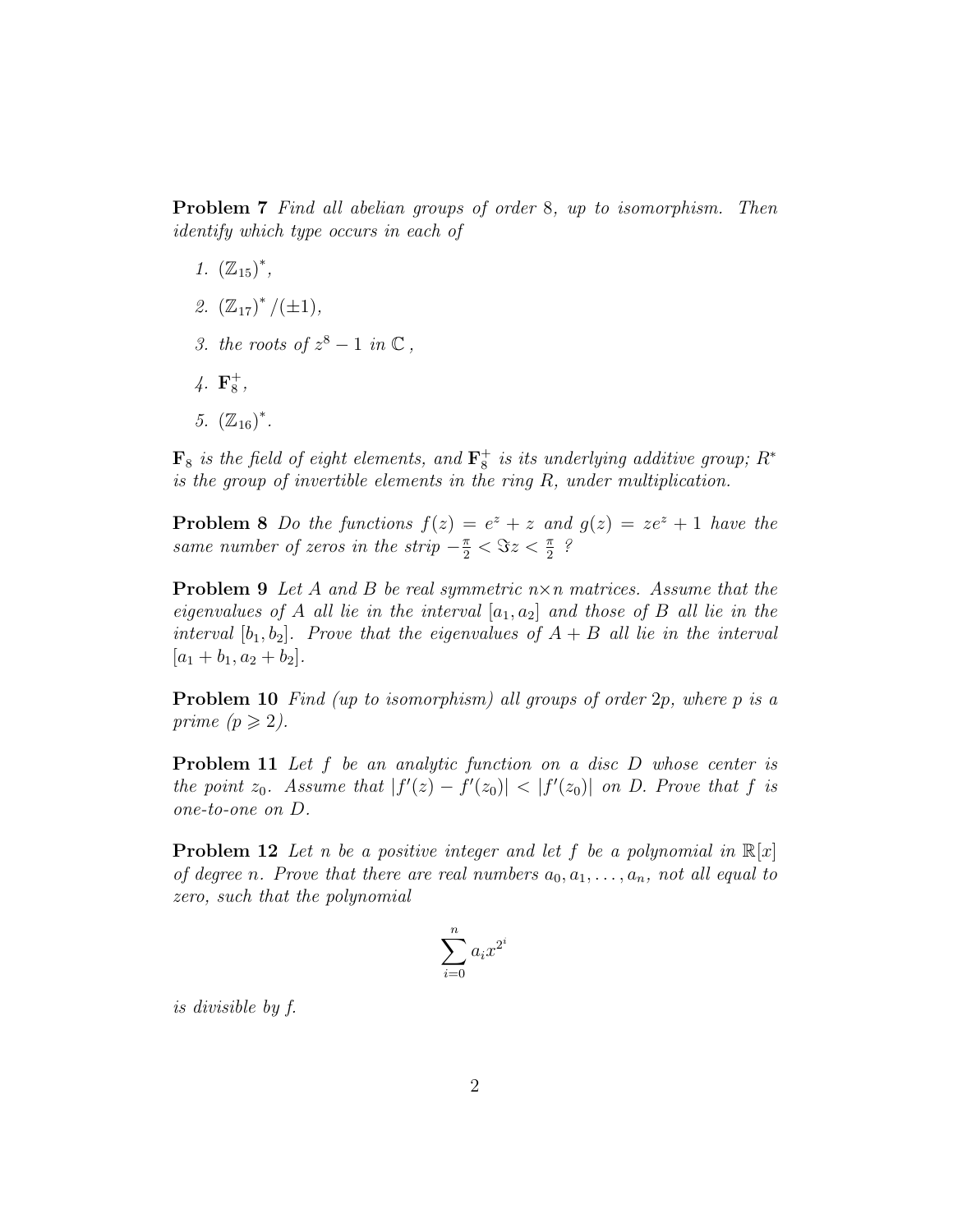Problem 7 Find all abelian groups of order 8, up to isomorphism. Then identify which type occurs in each of

- 1.  $(\mathbb{Z}_{15})^*$ ,
- 2.  $(\mathbb{Z}_{17})^*/(\pm 1)$ ,
- 3. the roots of  $z^8 1$  in  $\mathbb{C}$ ,
- $4. \, \mathbf{F}_{8}^{+}$  $^+_8,$
- 5.  $(\mathbb{Z}_{16})^*$ .

 $\mathbf{F}_8$  is the field of eight elements, and  $\mathbf{F}_8^+$  $_{8}^{+}$  is its underlying additive group;  $R^{\ast}$ is the group of invertible elements in the ring R, under multiplication.

**Problem 8** Do the functions  $f(z) = e^z + z$  and  $g(z) = ze^z + 1$  have the same number of zeros in the strip  $-\frac{\pi}{2} < \Im z < \frac{\pi}{2}$ ?

**Problem 9** Let A and B be real symmetric  $n \times n$  matrices. Assume that the eigenvalues of A all lie in the interval  $[a_1, a_2]$  and those of B all lie in the interval  $[b_1, b_2]$ . Prove that the eigenvalues of  $A + B$  all lie in the interval  $[a_1 + b_1, a_2 + b_2].$ 

Problem 10 Find (up to isomorphism) all groups of order 2p, where p is a prime  $(p \geq 2)$ .

**Problem 11** Let f be an analytic function on a disc D whose center is the point  $z_0$ . Assume that  $|f'(z) - f'(z_0)| < |f'(z_0)|$  on D. Prove that f is one-to-one on D.

**Problem 12** Let n be a positive integer and let f be a polynomial in  $\mathbb{R}[x]$ of degree n. Prove that there are real numbers  $a_0, a_1, \ldots, a_n$ , not all equal to zero, such that the polynomial

$$
\sum_{i=0}^{n} a_i x^{2^i}
$$

is divisible by f.